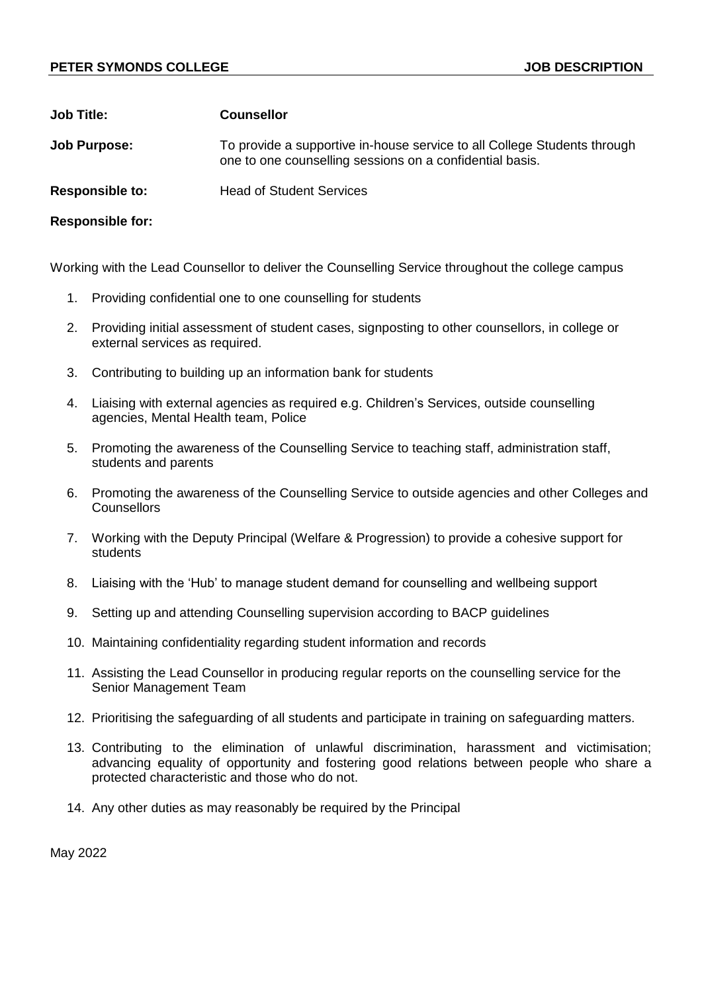## **PETER SYMONDS COLLEGE AND RESPONDENT ON A SERVICE OF STATE OF STATE OF STATE OF STATE OF STATE OF STATE OF ST**

| <b>Job Title:</b>       | <b>Counsellor</b>                                                                                                                    |
|-------------------------|--------------------------------------------------------------------------------------------------------------------------------------|
| <b>Job Purpose:</b>     | To provide a supportive in-house service to all College Students through<br>one to one counselling sessions on a confidential basis. |
| <b>Responsible to:</b>  | <b>Head of Student Services</b>                                                                                                      |
| <b>Responsible for:</b> |                                                                                                                                      |

Working with the Lead Counsellor to deliver the Counselling Service throughout the college campus

- 1. Providing confidential one to one counselling for students
- 2. Providing initial assessment of student cases, signposting to other counsellors, in college or external services as required.
- 3. Contributing to building up an information bank for students
- 4. Liaising with external agencies as required e.g. Children's Services, outside counselling agencies, Mental Health team, Police
- 5. Promoting the awareness of the Counselling Service to teaching staff, administration staff, students and parents
- 6. Promoting the awareness of the Counselling Service to outside agencies and other Colleges and **Counsellors**
- 7. Working with the Deputy Principal (Welfare & Progression) to provide a cohesive support for students
- 8. Liaising with the 'Hub' to manage student demand for counselling and wellbeing support
- 9. Setting up and attending Counselling supervision according to BACP guidelines
- 10. Maintaining confidentiality regarding student information and records
- 11. Assisting the Lead Counsellor in producing regular reports on the counselling service for the Senior Management Team
- 12. Prioritising the safeguarding of all students and participate in training on safeguarding matters.
- 13. Contributing to the elimination of unlawful discrimination, harassment and victimisation; advancing equality of opportunity and fostering good relations between people who share a protected characteristic and those who do not.
- 14. Any other duties as may reasonably be required by the Principal

May 2022